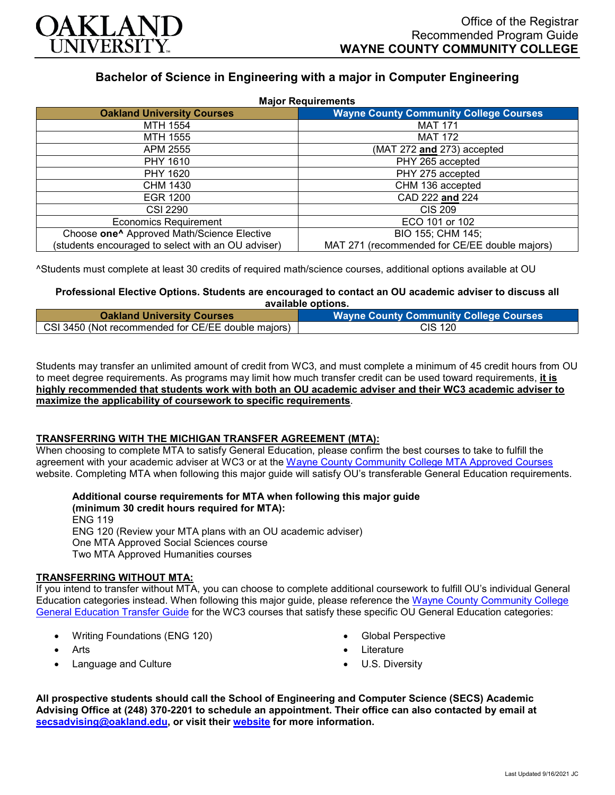

# **Bachelor of Science in Engineering with a major in Computer Engineering**

| <b>Major Requirements</b>                              |                                               |
|--------------------------------------------------------|-----------------------------------------------|
| <b>Oakland University Courses</b>                      | <b>Wayne County Community College Courses</b> |
| MTH 1554                                               | <b>MAT 171</b>                                |
| MTH 1555                                               | <b>MAT 172</b>                                |
| APM 2555                                               | (MAT 272 and 273) accepted                    |
| PHY 1610                                               | PHY 265 accepted                              |
| PHY 1620                                               | PHY 275 accepted                              |
| CHM 1430                                               | CHM 136 accepted                              |
| <b>EGR 1200</b>                                        | CAD 222 and 224                               |
| <b>CSI 2290</b>                                        | <b>CIS 209</b>                                |
| <b>Economics Requirement</b>                           | ECO 101 or 102                                |
| Choose one <sup>^</sup> Approved Math/Science Elective | BIO 155; CHM 145;                             |
| (students encouraged to select with an OU adviser)     | MAT 271 (recommended for CE/EE double majors) |

^Students must complete at least 30 credits of required math/science courses, additional options available at OU

## **Professional Elective Options. Students are encouraged to contact an OU academic adviser to discuss all available options.**

| <b>Oakland University Courses</b>                  | <b>Wayne County Community College Courses</b> |
|----------------------------------------------------|-----------------------------------------------|
| CSI 3450 (Not recommended for CE/EE double majors) | <b>CIS 120</b>                                |

Students may transfer an unlimited amount of credit from WC3, and must complete a minimum of 45 credit hours from OU to meet degree requirements. As programs may limit how much transfer credit can be used toward requirements, **it is highly recommended that students work with both an OU academic adviser and their WC3 academic adviser to maximize the applicability of coursework to specific requirements**.

#### **TRANSFERRING WITH THE MICHIGAN TRANSFER AGREEMENT (MTA):**

When choosing to complete MTA to satisfy General Education, please confirm the best courses to take to fulfill the agreement with your academic adviser at WC3 or at the Wayne [County Community College](http://www.wcccd.edu/students/pp_transfer_agreement.html) MTA Approved Courses website. Completing MTA when following this major guide will satisfy OU's transferable General Education requirements.

**Additional course requirements for MTA when following this major guide** 

**(minimum 30 credit hours required for MTA):** ENG 119 ENG 120 (Review your MTA plans with an OU academic adviser) One MTA Approved Social Sciences course Two MTA Approved Humanities courses

#### **TRANSFERRING WITHOUT MTA:**

If you intend to transfer without MTA, you can choose to complete additional coursework to fulfill OU's individual General Education categories instead. When following this major guide, please reference the [Wayne County Community College](https://www.oakland.edu/Assets/Oakland/program-guides/wayne-county-community-college/university-general-education-requirements/Wayne%20Gen%20Ed.pdf)  [General Education Transfer Guide](https://www.oakland.edu/Assets/Oakland/program-guides/wayne-county-community-college/university-general-education-requirements/Wayne%20Gen%20Ed.pdf) for the WC3 courses that satisfy these specific OU General Education categories:

- Writing Foundations (ENG 120)
- Arts
- Language and Culture
- Global Perspective
- **Literature**
- U.S. Diversity

**All prospective students should call the School of Engineering and Computer Science (SECS) Academic Advising Office at (248) 370-2201 to schedule an appointment. Their office can also contacted by email at [secsadvising@oakland.edu,](mailto:secsadvising@oakland.edu) or visit their [website](https://wwwp.oakland.edu/secs/advising/) for more information.**